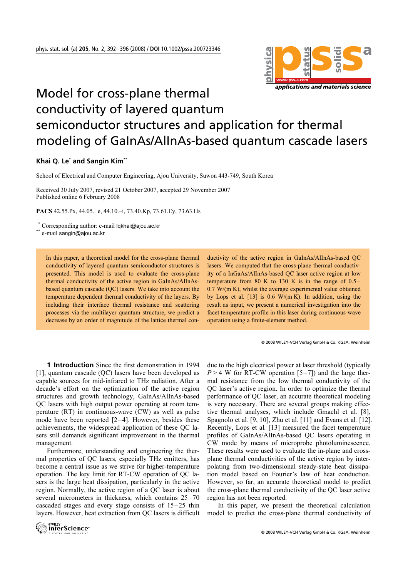

## Model for cross-plane thermal conductivity of layered quantum semiconductor structures and application for thermal modeling of GaInAs/AlInAs-based quantum cascade lasers

## **Khai Q. Le\* and Sangin Kim\*\***

School of Electrical and Computer Engineering, Ajou University, Suwon 443-749, South Korea

Received 30 July 2007, revised 21 October 2007, accepted 29 November 2007 Published online 6 February 2008

PACS 42.55.Px, 44.05.+e, 44.10.–i, 73.40.Kp, 73.61.Ey, 73.63.Hs

Corresponding author: e-mail lqkhai@ajou.ac.kr<br>e-mail sangin@ajou.ac.kr

-\*\*

> In this paper, a theoretical model for the cross-plane thermal conductivity of layered quantum semiconductor structures is presented. This model is used to evaluate the cross-plane thermal conductivity of the active region in GaInAs/AlInAsbased quantum cascade (QC) lasers. We take into account the temperature dependent thermal conductivity of the layers. By including their interface thermal resistance and scattering processes via the multilayer quantum structure, we predict a decrease by an order of magnitude of the lattice thermal con-

ductivity of the active region in GaInAs/AlInAs-based QC lasers. We computed that the cross-plane thermal conductivity of a InGaAs/AlInAs-based QC laser active region at low temperature from 80 K to 130 K is in the range of 0.5– 0.7 W/(m K), whilst the average experimental value obtained by Lops et al.  $[13]$  is 0.6 W/(m K). In addition, using the result as input, we present a numerical investigation into the facet temperature profile in this laser during continuous-wave operation using a finite-element method.

© 2008 WILEY-VCH Verlag GmbH & Co. KGaA, Weinheim

**1 Introduction** Since the first demonstration in 1994 [1], quantum cascade (QC) lasers have been developed as capable sources for mid-infrared to THz radiation. After a decade's effort on the optimization of the active region structures and growth technology, GaInAs/AlInAs-based QC lasers with high output power operating at room temperature (RT) in continuous-wave (CW) as well as pulse mode have been reported [2–4]. However, besides these achievements, the widespread application of these QC lasers still demands significant improvement in the thermal management.

 Furthermore, understanding and engineering the thermal properties of QC lasers, especially THz emitters, has become a central issue as we strive for higher-temperature operation. The key limit for RT-CW operation of QC lasers is the large heat dissipation, particularly in the active region. Normally, the active region of a QC laser is about several micrometers in thickness, which contains 25–70 cascaded stages and every stage consists of 15–25 thin layers. However, heat extraction from QC lasers is difficult



due to the high electrical power at laser threshold (typically

 In this paper, we present the theoretical calculation model to predict the cross-plane thermal conductivity of

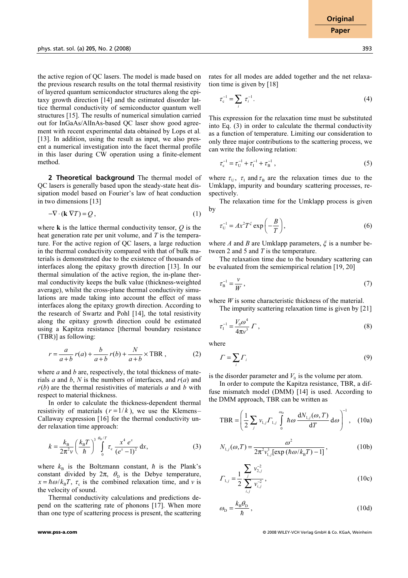the active region of QC lasers. The model is made based on the previous research results on the total thermal resistivity of layered quantum semiconductor structures along the epitaxy growth direction [14] and the estimated disorder lattice thermal conductivity of semiconductor quantum well structures [15]. The results of numerical simulation carried out for InGaAs/AlInAs-based QC laser show good agreement with recent experimental data obtained by Lops et al. [13]. In addition, using the result as input, we also present a numerical investigation into the facet thermal profile in this laser during CW operation using a finite-element method.

**2 Theoretical background** The thermal model of QC lasers is generally based upon the steady-state heat dissipation model based on Fourier's law of heat conduction in two dimensions [13]

$$
-\nabla \cdot (\mathbf{k} \nabla T) = Q, \qquad (1)
$$

where  $\bf{k}$  is the lattice thermal conductivity tensor,  $\bf{Q}$  is the heat generation rate per unit volume, and  $T$  is the temperature. For the active region of QC lasers, a large reduction in the thermal conductivity compared with that of bulk materials is demonstrated due to the existence of thousands of interfaces along the epitaxy growth direction [13]. In our thermal simulation of the active region, the in-plane thermal conductivity keeps the bulk value (thickness-weighted average), whilst the cross-plane thermal conductivity simulations are made taking into account the effect of mass interfaces along the epitaxy growth direction. According to the research of Swartz and Pohl [14], the total resistivity along the epitaxy growth direction could be estimated using a Kapitza resistance [thermal boundary resistance (TBR)] as following:

$$
r = \frac{a}{a+b} r(a) + \frac{b}{a+b} r(b) + \frac{N}{a+b} \times \text{TBR},
$$
 (2)

where  $a$  and  $b$  are, respectively, the total thickness of materials a and b, N is the numbers of interfaces, and  $r(a)$  and  $r(b)$  are the thermal resistivities of materials a and b with respect to material thickness.

 In order to calculate the thickness-dependent thermal resistivity of materials  $(r = 1/k)$ , we use the Klemens– Callaway expression [16] for the thermal conductivity under relaxation time approach:

$$
k = \frac{k_{\rm B}}{2\pi^2 v} \left(\frac{k_{\rm B}T}{\hbar}\right)^3 \int_0^{\theta_0/T} \tau_{\rm c} \frac{x^4 e^x}{\left(e^x - 1\right)^2} \, \mathrm{d}x,\tag{3}
$$

where  $k_B$  is the Boltzmann constant,  $\hbar$  is the Plank's constant divided by  $2\pi$ ,  $\theta$ <sub>D</sub> is the Debye temperature,  $x = \hbar \omega / k_B T$ ,  $\tau_c$  is the combined relaxation time, and *v* is the velocity of sound.

 Thermal conductivity calculations and predictions depend on the scattering rate of phonons [17]. When more than one type of scattering process is present, the scattering rates for all modes are added together and the net relaxation time is given by [18]

time is given by [18]  

$$
\tau_c^{-1} = \sum_i \tau_i^{-1}.
$$
 (4)

This expression for the relaxation time must be substituted into Eq. (3) in order to calculate the thermal conductivity as a function of temperature. Limiting our consideration to only three major contributions to the scattering process, we can write the following relation:<br>  $\tau_c^{-1} = \tau_0^{-1} + \tau_1^{-1} + \tau_B^{-1}$ , (5)

$$
\tau_{\rm c}^{-1} = \tau_{\rm U}^{-1} + \tau_{\rm I}^{-1} + \tau_{\rm B}^{-1} \,, \tag{5}
$$

where  $\tau_{\text{U}}$ ,  $\tau_{\text{I}}$  and  $\tau_{\text{B}}$  are the relaxation times due to the Umklapp, impurity and boundary scattering processes, respectively.

 The relaxation time for the Umklapp process is given by

$$
\tau_{\mathbf{U}}^{-1} = Ax^2 T^{\xi} \exp\left(-\frac{B}{T}\right),\tag{6}
$$

where A and B are Umklapp parameters,  $\xi$  is a number between 2 and 5 and  $T$  is the temperature.

The relaxation time due to the boundary scattering can

be evaluated from the semiempirical relation [19, 20]  

$$
\tau_B^{-1} = \frac{v}{W},
$$
(7)

where  $W$  is some characteristic thickness of the material.

The impurity scattering relaxation time is given by [21]  

$$
\tau_1^{-1} = \frac{V_0 \omega^4}{4\pi v^3} \Gamma,
$$
 (8)

where

$$
\Gamma = \sum_{i} \Gamma_{i} \tag{9}
$$

is the disorder parameter and  $V_0$  is the volume per atom.

 In order to compute the Kapitza resistance, TBR, a diffuse mismatch model (DMM) [14] is used. According to the DMM approach, TBR can be written as

$$
\text{TBR} = \left(\frac{1}{2}\sum_{j} v_{i,j} \Gamma_{i,j} \int_{0}^{\omega_{\text{D}}} \hbar \omega \, \frac{\text{d}N_{i,j}(\omega, T)}{\text{d}T} \, \text{d}\omega\right)^{-1}, \quad (10a)
$$

$$
N_{1,j}(\omega,T) = \frac{\omega^2}{2\pi^2 v_{1,j}^3 [\exp(\hbar\omega/k_B T) - 1]},
$$
 (10b)

$$
\Gamma_{1,j} = \frac{1}{2} \sum_{i,j} \frac{v_{2,j}^{-2}}{v_{i,j}^{-2}},
$$
\n(10c)

$$
\omega_{\rm D} = \frac{k_{\rm B} \theta_{\rm D}}{\hbar} \,, \tag{10d}
$$

**www.pss-a.com** © 2008 WILEY-VCH Verlag GmbH & Co. KGaA, Weinheim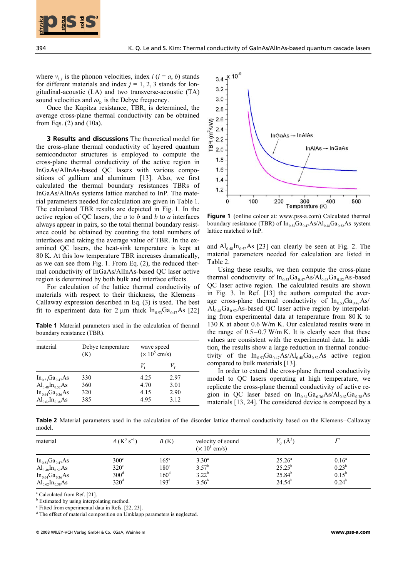

where  $v_{i,j}$  is the phonon velocities, index  $i$  ( $i = a, b$ ) stands for different materials and index  $j = 1, 2, 3$  stands for longitudinal-acoustic (LA) and two transverse-acoustic (TA) sound velocities and  $\omega_{\rm p}$  is the Debye frequency.

 Once the Kapitza resistance, TBR, is determined, the average cross-plane thermal conductivity can be obtained from Eqs. (2) and (10a).

**3 Results and discussions** The theoretical model for the cross-plane thermal conductivity of layered quantum semiconductor structures is employed to compute the cross-plane thermal conductivity of the active region in InGaAs/AlInAs-based QC lasers with various compositions of gallium and aluminum [13]. Also, we first calculated the thermal boundary resistances TBRs of InGaAs/AlInAs systems lattice matched to InP. The material parameters needed for calculation are given in Table 1. The calculated TBR results are depicted in Fig. 1. In the active region of QC lasers, the  $a$  to  $b$  and  $b$  to  $a$  interfaces always appear in pairs, so the total thermal boundary resistance could be obtained by counting the total numbers of interfaces and taking the average value of TBR. In the examined QC lasers, the heat-sink temperature is kept at 80 K. At this low temperature TBR increases dramatically, as we can see from Fig. 1. From Eq. (2), the reduced thermal conductivity of InGaAs/AlInAs-based QC laser active region is determined by both bulk and interface effects.

 For calculation of the lattice thermal conductivity of materials with respect to their thickness, the Klemens– Callaway expression described in Eq. (3) is used. The best fit to experiment data for 2  $\mu$ m thick  $\ln_{0.53} Ga_{0.47}As$  [22]

**Table 1** Material parameters used in the calculation of thermal boundary resistance (TBR).

| material               | Debye temperature<br>(K) | wave speed<br>$(x 10^5$ cm/s) |             |  |
|------------------------|--------------------------|-------------------------------|-------------|--|
|                        |                          | $V_{\rm r}$                   | $V_{\rm T}$ |  |
| $In_{0.53}Ga_{0.47}As$ | 330                      | 4.25                          | 2.97        |  |
| $Al_{0.48}In_{0.52}As$ | 360                      | 4.70                          | 3.01        |  |
| $In_{0.64}Ga_{0.36}As$ | 320                      | 4.15                          | 2.90        |  |
| $Al_{0.62}In_{0.38}As$ | 385                      | 4.95                          | 3.12        |  |



**Figure 1** (online colour at: www.pss-a.com) Calculated thermal boundary resistance (TBR) of  $In_{0.53}Ga_{0.47}As/Al_{0.48}Ga_{0.52}As$  system lattice matched to InP.

and  $Al<sub>0.48</sub> In<sub>0.52</sub> As [23] can clearly be seen at Fig. 2. The$ material parameters needed for calculation are listed in Table 2.

 Using these results, we then compute the cross-plane thermal conductivity of  $In<sub>0.53</sub>Ga<sub>0.47</sub>As/Al<sub>0.48</sub>Ga<sub>0.52</sub>As-based$ QC laser active region. The calculated results are shown in Fig. 3. In Ref. [13] the authors computed the average cross-plane thermal conductivity of  $In<sub>0.53</sub> Ga<sub>0.47</sub> As/$  $Al<sub>0.48</sub> Ga<sub>0.52</sub> As-based QC laser active region by interpolat$ ing from experimental data at temperature from 80 K to 130 K at about 0.6 W/m K. Our calculated results were in the range of  $0.5-0.7$  W/m K. It is clearly seen that these values are consistent with the experimental data. In addition, the results show a large reduction in thermal conductivity of the  $In<sub>0.53</sub> Ga<sub>0.47</sub> As/Al<sub>0.48</sub> Ga<sub>0.52</sub> As active region$ compared to bulk materials [13].

 In order to extend the cross-plane thermal conductivity model to QC lasers operating at high temperature, we replicate the cross-plane thermal conductivity of active region in QC laser based on  $\text{In}_{0.64}\text{Ga}_{0.36}\text{As}/\text{Al}_{0.62}\text{Ga}_{0.38}\text{As}$ materials [13, 24]. The considered device is composed by a

**Table 2** Material parameters used in the calculation of the disorder lattice thermal conductivity based on the Klemens–Callaway model. material  $A (K^3 s^{-1})$   $B (K)$  velocity of sound

| material               | $A(K^3 s^{-1})$  | B(K)          | velocity of sound<br>$(\times 10^5$ cm/s) | $V_0$ (Å <sup>3</sup> ) |                |
|------------------------|------------------|---------------|-------------------------------------------|-------------------------|----------------|
| $In_{0.53}Ga_{0.47}As$ | $300^\circ$      | $165^\circ$   | $3.30^{\circ}$                            | $25.26^{\circ}$         | $0.16^{\circ}$ |
| $Al_{0.48}In_{0.52}As$ | $320^\circ$      | $180^\circ$   | $3.57^{b}$                                | $25.25^{b}$             | $0.23^{b}$     |
| $In_{0.64}Ga_{0.36}As$ | $300^d$          | $160^{\rm d}$ | $3.22^{b}$                                | $25.84^{b}$             | $0.15^{\rm b}$ |
| $Al_{0.62}In_{0.38}As$ | 320 <sup>d</sup> | $193^{\rm d}$ | $3.56^{\rm b}$                            | $24.54^b$               | $0.24^{\rm b}$ |

<sup>a</sup> Calculated from Ref. [21].

**b** Estimated by using interpolating method.

<sup>c</sup> Fitted from experimental data in Refs. [22, 23].

<sup>d</sup> The effect of material composition on Umklapp parameters is neglected.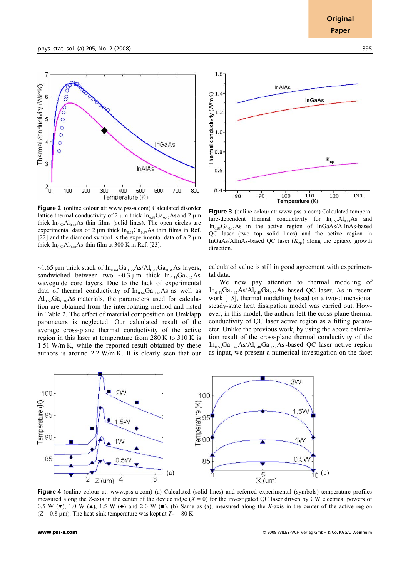

**Figure 2** (online colour at: www.pss-a.com) Calculated disorder lattice thermal conductivity of 2  $\mu$ m thick  $\ln_{0.53} Ga_{0.47}$  As and 2  $\mu$ m thick  $\text{In}_{0.52} \text{Al}_{0.48}$ As thin films (solid lines). The open circles are experimental data of 2  $\mu$ m thick In<sub>0.53</sub>Ga<sub>0.47</sub>As thin films in Ref. [22] and the diamond symbol is the experimental data of a 2  $\mu$ m thick  $\text{In}_{0.52} \text{Al}_{0.48} \text{As}$  thin film at 300 K in Ref. [23].

~1.65 µm thick stack of  $In_{0.64}Ga_{0.36}As/Al_{0.62}Ga_{0.38}As$  layers, sandwiched between two ~0.3  $\mu$ m thick  $\ln_{0.53} Ga_{0.47}As$ waveguide core layers. Due to the lack of experimental data of thermal conductivity of  $In<sub>0.64</sub> Ga<sub>0.36</sub> As as well as$  $Al_{0.62}Ga_{0.38}As$  materials, the parameters used for calculation are obtained from the interpolating method and listed in Table 2. The effect of material composition on Umklapp parameters is neglected. Our calculated result of the average cross-plane thermal conductivity of the active region in this laser at temperature from 280 K to 310 K is 1.51 W/m K, while the reported result obtained by these authors is around 2.2 W/m K. It is clearly seen that our



**Figure 3** (online colour at: www.pss-a.com) Calculated temperature-dependent thermal conductivity for  $\ln_{0.52} Al_{0.48} As$  and  $In<sub>0.53</sub>Ga<sub>0.47</sub>As$  in the active region of InGaAs/AlInAs-based QC laser (two top solid lines) and the active region in InGaAs/AlInAs-based QC laser  $(K_{cp})$  along the epitaxy growth direction.

calculated value is still in good agreement with experimental data.

 We now pay attention to thermal modeling of  $In_{0.53}Ga_{0.47}As/Al_{0.48}Ga_{0.52}As-based QC laser. As in recent$ work [13], thermal modelling based on a two-dimensional steady-state heat dissipation model was carried out. However, in this model, the authors left the cross-plane thermal conductivity of QC laser active region as a fitting parameter. Unlike the previous work, by using the above calculation result of the cross-plane thermal conductivity of the  $In_{0.53}Ga_{0.47}As/Al_{0.48}Ga_{0.52}As$ -based QC laser active region as input, we present a numerical investigation on the facet



**Figure 4** (online colour at: www.pss-a.com) (a) Calculated (solid lines) and referred experimental (symbols) temperature profiles measured along the Z-axis in the center of the device ridge  $(X = 0)$  for the investigated QC laser driven by CW electrical powers of 0.5 W ( $\blacktriangledown$ ), 1.0 W ( $\blacktriangle$ ), 1.5 W ( $\blacktriangledown$ ) and 2.0 W ( $\blacktriangledown$ ). (b) Same as (a), measured along the X-axis in the center of the active region  $(Z = 0.8 \text{ }\mu\text{m})$ . The heat-sink temperature was kept at  $T_H = 80 \text{ K}$ .